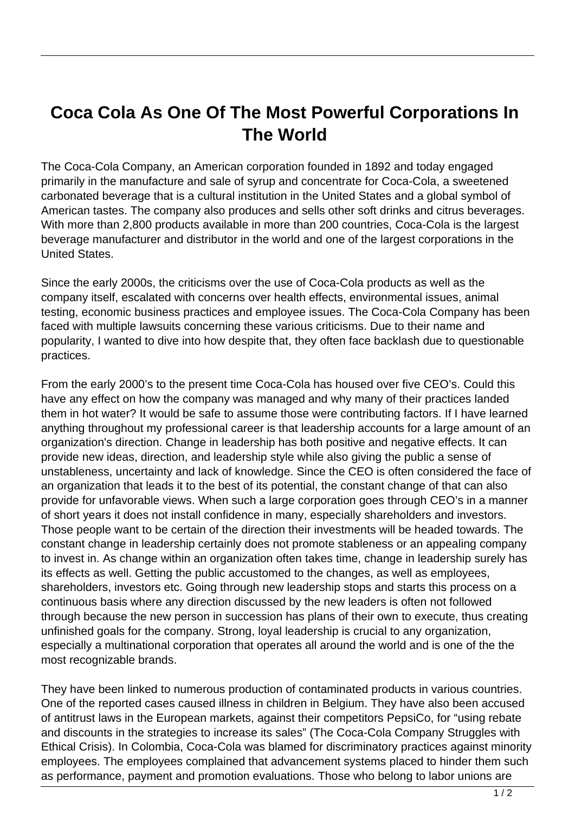## **Coca Cola As One Of The Most Powerful Corporations In The World**

The Coca-Cola Company, an American corporation founded in 1892 and today engaged primarily in the manufacture and sale of syrup and concentrate for Coca-Cola, a sweetened carbonated beverage that is a cultural institution in the United States and a global symbol of American tastes. The company also produces and sells other soft drinks and citrus beverages. With more than 2,800 products available in more than 200 countries, Coca-Cola is the largest beverage manufacturer and distributor in the world and one of the largest corporations in the United States.

Since the early 2000s, the criticisms over the use of Coca-Cola products as well as the company itself, escalated with concerns over health effects, environmental issues, animal testing, economic business practices and employee issues. The Coca-Cola Company has been faced with multiple lawsuits concerning these various criticisms. Due to their name and popularity, I wanted to dive into how despite that, they often face backlash due to questionable practices.

From the early 2000's to the present time Coca-Cola has housed over five CEO's. Could this have any effect on how the company was managed and why many of their practices landed them in hot water? It would be safe to assume those were contributing factors. If I have learned anything throughout my professional career is that leadership accounts for a large amount of an organization's direction. Change in leadership has both positive and negative effects. It can provide new ideas, direction, and leadership style while also giving the public a sense of unstableness, uncertainty and lack of knowledge. Since the CEO is often considered the face of an organization that leads it to the best of its potential, the constant change of that can also provide for unfavorable views. When such a large corporation goes through CEO's in a manner of short years it does not install confidence in many, especially shareholders and investors. Those people want to be certain of the direction their investments will be headed towards. The constant change in leadership certainly does not promote stableness or an appealing company to invest in. As change within an organization often takes time, change in leadership surely has its effects as well. Getting the public accustomed to the changes, as well as employees, shareholders, investors etc. Going through new leadership stops and starts this process on a continuous basis where any direction discussed by the new leaders is often not followed through because the new person in succession has plans of their own to execute, thus creating unfinished goals for the company. Strong, loyal leadership is crucial to any organization, especially a multinational corporation that operates all around the world and is one of the the most recognizable brands.

They have been linked to numerous production of contaminated products in various countries. One of the reported cases caused illness in children in Belgium. They have also been accused of antitrust laws in the European markets, against their competitors PepsiCo, for "using rebate and discounts in the strategies to increase its sales" (The Coca-Cola Company Struggles with Ethical Crisis). In Colombia, Coca-Cola was blamed for discriminatory practices against minority employees. The employees complained that advancement systems placed to hinder them such as performance, payment and promotion evaluations. Those who belong to labor unions are